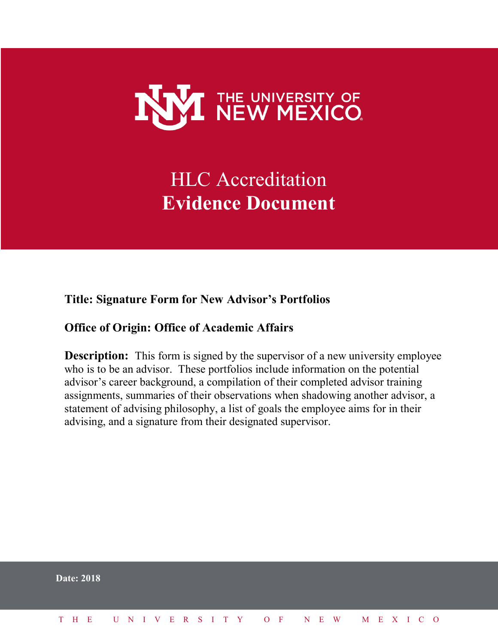

# HLC Accreditation **Evidence Document**

**Title: Signature Form for New Advisor's Portfolios** 

# **Office of Origin: Office of Academic Affairs**

**Description:** This form is signed by the supervisor of a new university employee who is to be an advisor. These portfolios include information on the potential advisor's career background, a compilation of their completed advisor training assignments, summaries of their observations when shadowing another advisor, a statement of advising philosophy, a list of goals the employee aims for in their advising, and a signature from their designated supervisor.

|  | Date: 2018 |                              |  |  |  |  |  |  |  |  |  |  |  |  |
|--|------------|------------------------------|--|--|--|--|--|--|--|--|--|--|--|--|
|  |            | THE UNIVERSITY OF NEW MEXICO |  |  |  |  |  |  |  |  |  |  |  |  |